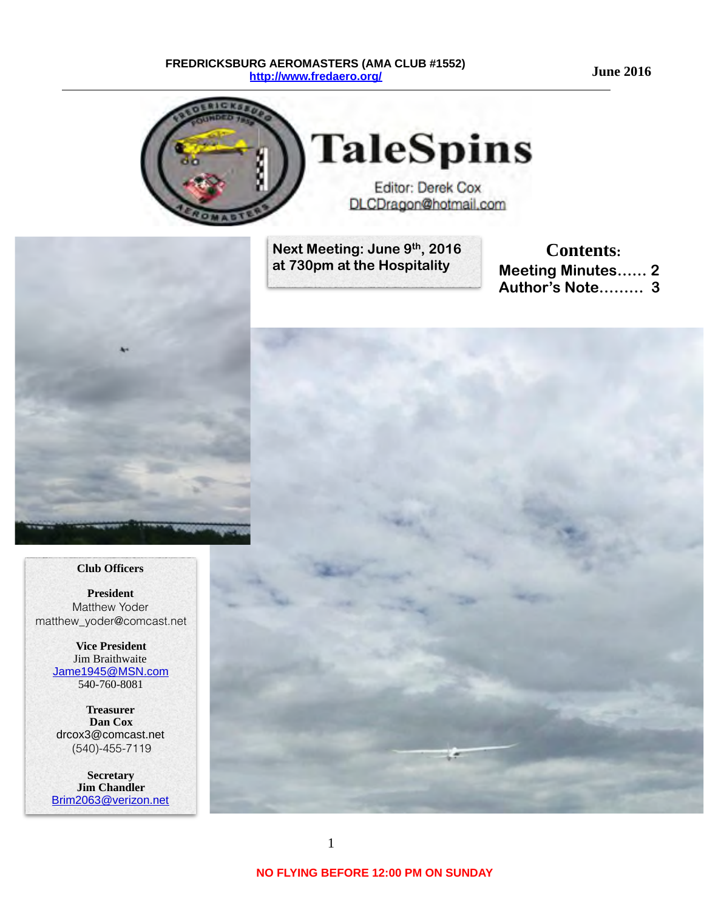**June 2016**

#### **FREDRICKSBURG AEROMASTERS (AMA CLUB #1552) <http://www.fredaero.org/>**



**Next Meeting: June 9th, 2016 at 730pm at the Hospitality** 

**Contents: Meeting Minutes…… 2 Author's Note……… 3** 



 **Club Officers**

**President** Matthew Yoder matthew\_yoder@comcast.net

> **Vice President** Jim Braithwaite [Jame1945@MSN.com](mailto:knjburnett@comcast.net) 540-760-8081

**Treasurer Dan Cox** drcox3@comcast.net (540)-455-7119

**Secretary Jim Chandler** [Brim2063@verizon.net](mailto:Brim2063@verizon.net?subject=)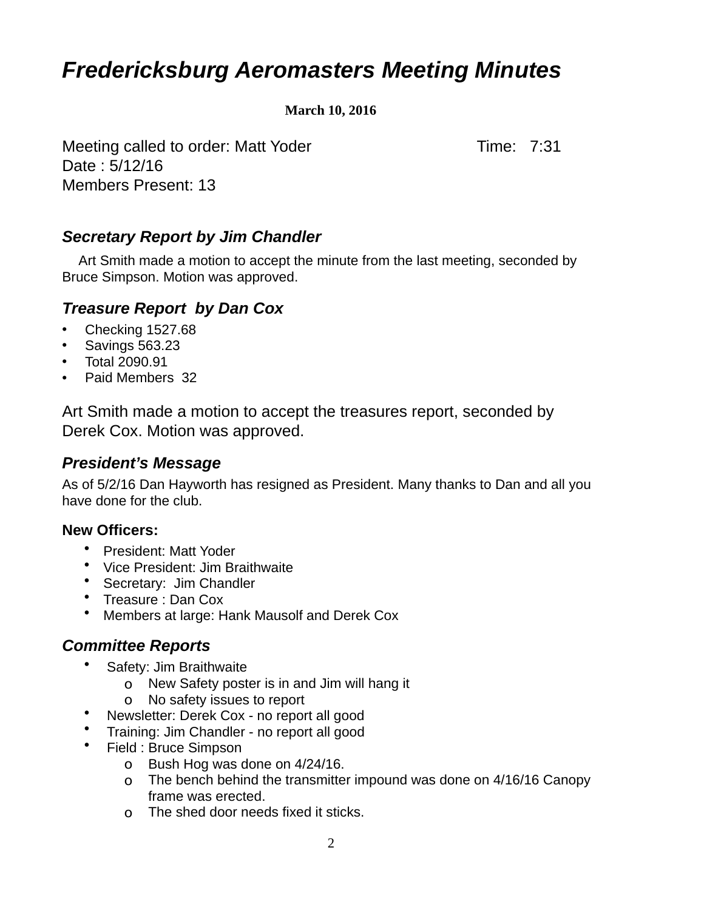# *Fredericksburg Aeromasters Meeting Minutes*

**March 10, 2016** 

Meeting called to order: Matt Yoder Time: 7:31 Date : 5/12/16 Members Present: 13

### *Secretary Report by Jim Chandler*

 Art Smith made a motion to accept the minute from the last meeting, seconded by Bruce Simpson. Motion was approved.

#### *Treasure Report by Dan Cox*

- Checking 1527.68
- Savings 563.23
- Total 2090.91
- Paid Members 32

Art Smith made a motion to accept the treasures report, seconded by Derek Cox. Motion was approved.

#### *President's Message*

As of 5/2/16 Dan Hayworth has resigned as President. Many thanks to Dan and all you have done for the club.

#### **New Officers:**

- President: Matt Yoder
- Vice President: Jim Braithwaite
- Secretary: Jim Chandler
- Treasure : Dan Cox
- Members at large: Hank Mausolf and Derek Cox

#### *Committee Reports*

- Safety: Jim Braithwaite
	- o New Safety poster is in and Jim will hang it
	- o No safety issues to report
	- Newsletter: Derek Cox no report all good
- Training: Jim Chandler no report all good
- Field : Bruce Simpson
	- o Bush Hog was done on 4/24/16.
	- o The bench behind the transmitter impound was done on 4/16/16 Canopy frame was erected.
	- o The shed door needs fixed it sticks.